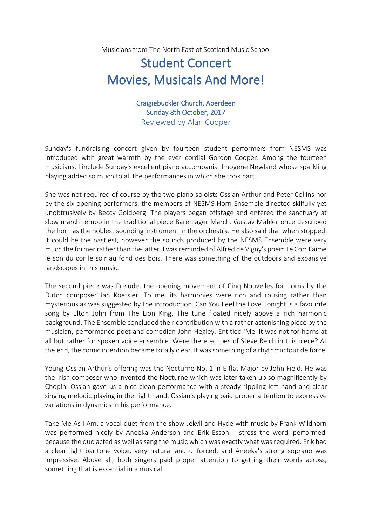Musicians from The North East of Scotland Music School

## Student Concert Movies, Musicals And More!

Craigiebuckler Church, Aberdeen Sunday 8th October, 2017 Reviewed by Alan Cooper

Sunday's fundraising concert given by fourteen student performers from NESMS was introduced with great warmth by the ever cordial Gordon Cooper. Among the fourteen musicians, I include Sunday's excellent piano accompanist Imogene Newland whose sparkling playing added so much to all the performances in which she took part.

She was not required of course by the two piano soloists Ossian Arthur and Peter Collins nor by the six opening performers, the members of NESMS Horn Ensemble directed skilfully yet unobtrusively by Beccy Goldberg. The players began offstage and entered the sanctuary at slow march tempo in the traditional piece Barenjager March. Gustav Mahler once described the horn as the noblest sounding instrument in the orchestra. He also said that when stopped, it could be the nastiest, however the sounds produced by the NESMS Ensemble were very much the former rather than the latter. I was reminded of Alfred de Vigny's poem Le Cor: J'aime le son du cor le soir au fond des bois. There was something of the outdoors and expansive landscapes in this music.

The second piece was Prelude, the opening movement of Cinq Nouvelles for horns by the Dutch composer Jan Koetsier. To me, its harmonies were rich and rousing rather than mysterious as was suggested by the introduction. Can You Feel the Love Tonight is a favourite song by Elton John from The Lion King. The tune floated nicely above a rich harmonic background. The Ensemble concluded their contribution with a rather astonishing piece by the musician, performance poet and comedian John Hegley. Entitled 'Me' it was not for horns at all but rather for spoken voice ensemble. Were there echoes of Steve Reich in this piece? At the end, the comic intention became totally clear. It was something of a rhythmic tour de force.

Young Ossian Arthur's offering was the Nocturne No. 1 in E flat Major by John Field. He was the Irish composer who invented the Nocturne which was later taken up so magnificently by Chopin. Ossian gave us a nice clean performance with a steady rippling left hand and clear singing melodic playing in the right hand. Ossian's playing paid proper attention to expressive variations in dynamics in his performance.

Take Me As I Am, a vocal duet from the show Jekyll and Hyde with music by Frank Wildhorn was performed nicely by Aneeka Anderson and Erik Esson. I stress the word 'performed' because the duo acted as well as sang the music which was exactly what was required. Erik had a clear light baritone voice, very natural and unforced, and Aneeka's strong soprano was impressive. Above all, both singers paid proper attention to getting their words across, something that is essential in a musical.